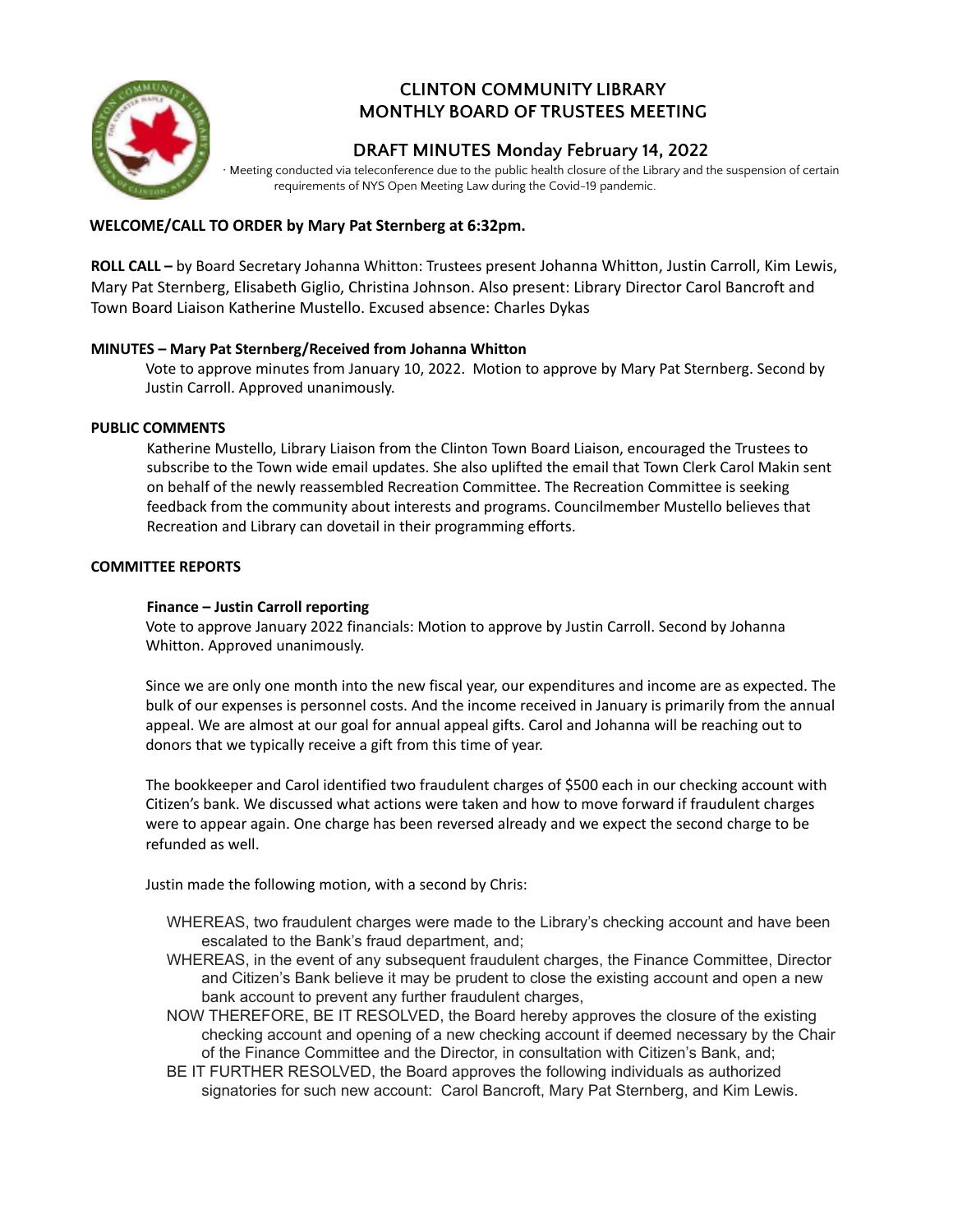

# **CLINTON COMMUNITY LIBRARY MONTHLY BOARD OF TRUSTEES MEETING**

## **DRAFT MINUTES Monday February 14, 2022**

∙ Meeting conducted via teleconference due to the public health closure of the Library and the suspension of certain requirements of NYS Open Meeting Law during the Covid-19 pandemic.

## **WELCOME/CALL TO ORDER by Mary Pat Sternberg at 6:32pm.**

**ROLL CALL –** by Board Secretary Johanna Whitton: Trustees present Johanna Whitton, Justin Carroll, Kim Lewis, Mary Pat Sternberg, Elisabeth Giglio, Christina Johnson. Also present: Library Director Carol Bancroft and Town Board Liaison Katherine Mustello. Excused absence: Charles Dykas

## **MINUTES – Mary Pat Sternberg/Received from Johanna Whitton**

Vote to approve minutes from January 10, 2022. Motion to approve by Mary Pat Sternberg. Second by Justin Carroll. Approved unanimously.

### **PUBLIC COMMENTS**

Katherine Mustello, Library Liaison from the Clinton Town Board Liaison, encouraged the Trustees to subscribe to the Town wide email updates. She also uplifted the email that Town Clerk Carol Makin sent on behalf of the newly reassembled Recreation Committee. The Recreation Committee is seeking feedback from the community about interests and programs. Councilmember Mustello believes that Recreation and Library can dovetail in their programming efforts.

#### **COMMITTEE REPORTS**

## **Finance – Justin Carroll reporting**

Vote to approve January 2022 financials: Motion to approve by Justin Carroll. Second by Johanna Whitton. Approved unanimously.

Since we are only one month into the new fiscal year, our expenditures and income are as expected. The bulk of our expenses is personnel costs. And the income received in January is primarily from the annual appeal. We are almost at our goal for annual appeal gifts. Carol and Johanna will be reaching out to donors that we typically receive a gift from this time of year.

The bookkeeper and Carol identified two fraudulent charges of \$500 each in our checking account with Citizen's bank. We discussed what actions were taken and how to move forward if fraudulent charges were to appear again. One charge has been reversed already and we expect the second charge to be refunded as well.

Justin made the following motion, with a second by Chris:

- WHEREAS, two fraudulent charges were made to the Library's checking account and have been escalated to the Bank's fraud department, and;
- WHEREAS, in the event of any subsequent fraudulent charges, the Finance Committee, Director and Citizen's Bank believe it may be prudent to close the existing account and open a new bank account to prevent any further fraudulent charges,
- NOW THEREFORE, BE IT RESOLVED, the Board hereby approves the closure of the existing checking account and opening of a new checking account if deemed necessary by the Chair of the Finance Committee and the Director, in consultation with Citizen's Bank, and;
- BE IT FURTHER RESOLVED, the Board approves the following individuals as authorized signatories for such new account: Carol Bancroft, Mary Pat Sternberg, and Kim Lewis.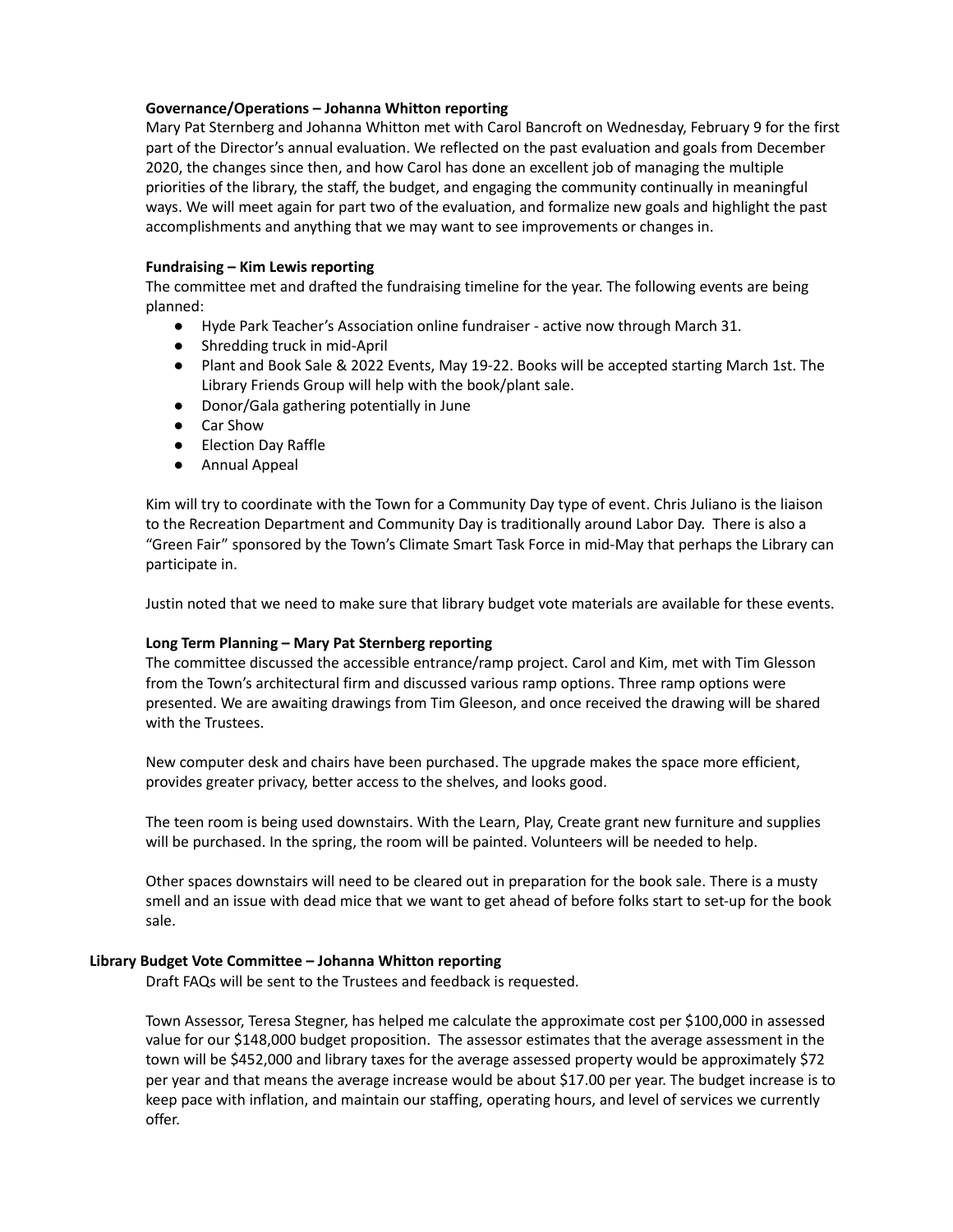#### **Governance/Operations – Johanna Whitton reporting**

Mary Pat Sternberg and Johanna Whitton met with Carol Bancroft on Wednesday, February 9 for the first part of the Director's annual evaluation. We reflected on the past evaluation and goals from December 2020, the changes since then, and how Carol has done an excellent job of managing the multiple priorities of the library, the staff, the budget, and engaging the community continually in meaningful ways. We will meet again for part two of the evaluation, and formalize new goals and highlight the past accomplishments and anything that we may want to see improvements or changes in.

#### **Fundraising – Kim Lewis reporting**

The committee met and drafted the fundraising timeline for the year. The following events are being planned:

- Hyde Park Teacher's Association online fundraiser active now through March 31.
- Shredding truck in mid-April
- Plant and Book Sale & 2022 Events, May 19-22. Books will be accepted starting March 1st. The Library Friends Group will help with the book/plant sale.
- Donor/Gala gathering potentially in June
- Car Show
- Election Day Raffle
- Annual Appeal

Kim will try to coordinate with the Town for a Community Day type of event. Chris Juliano is the liaison to the Recreation Department and Community Day is traditionally around Labor Day. There is also a "Green Fair" sponsored by the Town's Climate Smart Task Force in mid-May that perhaps the Library can participate in.

Justin noted that we need to make sure that library budget vote materials are available for these events.

#### **Long Term Planning – Mary Pat Sternberg reporting**

The committee discussed the accessible entrance/ramp project. Carol and Kim, met with Tim Glesson from the Town's architectural firm and discussed various ramp options. Three ramp options were presented. We are awaiting drawings from Tim Gleeson, and once received the drawing will be shared with the Trustees.

New computer desk and chairs have been purchased. The upgrade makes the space more efficient, provides greater privacy, better access to the shelves, and looks good.

The teen room is being used downstairs. With the Learn, Play, Create grant new furniture and supplies will be purchased. In the spring, the room will be painted. Volunteers will be needed to help.

Other spaces downstairs will need to be cleared out in preparation for the book sale. There is a musty smell and an issue with dead mice that we want to get ahead of before folks start to set-up for the book sale.

## **Library Budget Vote Committee – Johanna Whitton reporting**

Draft FAQs will be sent to the Trustees and feedback is requested.

Town Assessor, Teresa Stegner, has helped me calculate the approximate cost per \$100,000 in assessed value for our \$148,000 budget proposition. The assessor estimates that the average assessment in the town will be \$452,000 and library taxes for the average assessed property would be approximately \$72 per year and that means the average increase would be about \$17.00 per year. The budget increase is to keep pace with inflation, and maintain our staffing, operating hours, and level of services we currently offer.